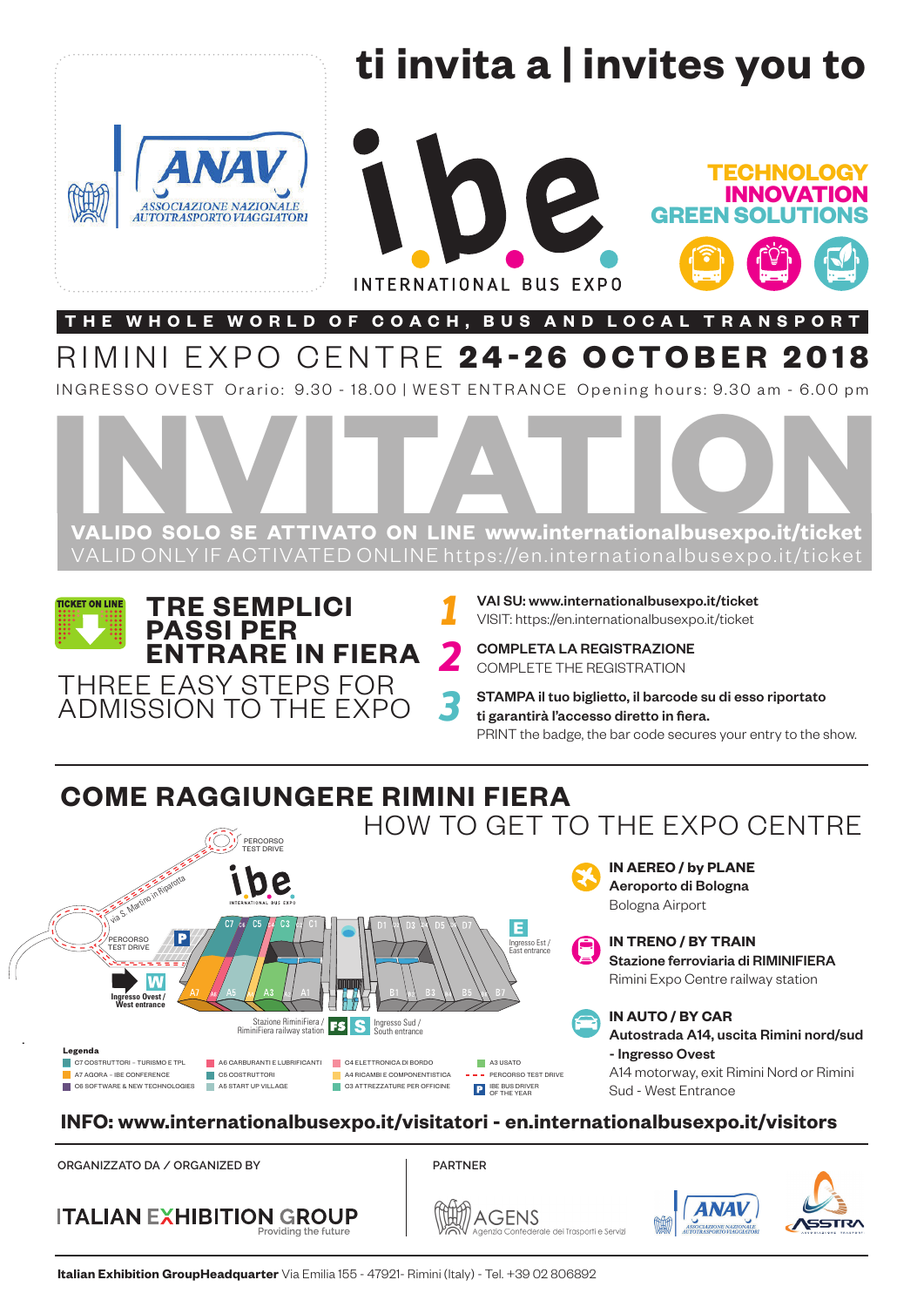

RIMINI EXPO CENTRE **24-26 OCTOBER 2018**

INGRESSO OVEST Orario: 9.30 - 18.00 | WEST ENTRANCE Opening hours: 9.30 am - 6.00 pm



**TICKET ON LINE TRE SEMPLICI PASSI PER ENTRARE IN FIERA**  THREE EASY STEPS FOR

ADMISSION TO THE EXPO

VAI SU: www.internationalbusexpo.it/ticket *1* VISIT: https://en.internationalbusexpo.it/ticket

COMPLETA LA REGISTRAZIONE *2* COMPLETE THE REGISTRATION

STAMPA il tuo biglietto, il barcode su di esso riportato ti garantirà l'accesso diretto in fiera. PRINT the badge, the bar code secures your entry to the show.

# **COME RAGGIUNGERE RIMINI FIERA**



*3*

**INFO: www.internationalbusexpo.it/visitatori - en.internationalbusexpo.it/visitors**

**ORGANIZZATO DA / ORGANIZED BY PARTNER**



**AGENS** dei Trasporti e Sep*r*iz